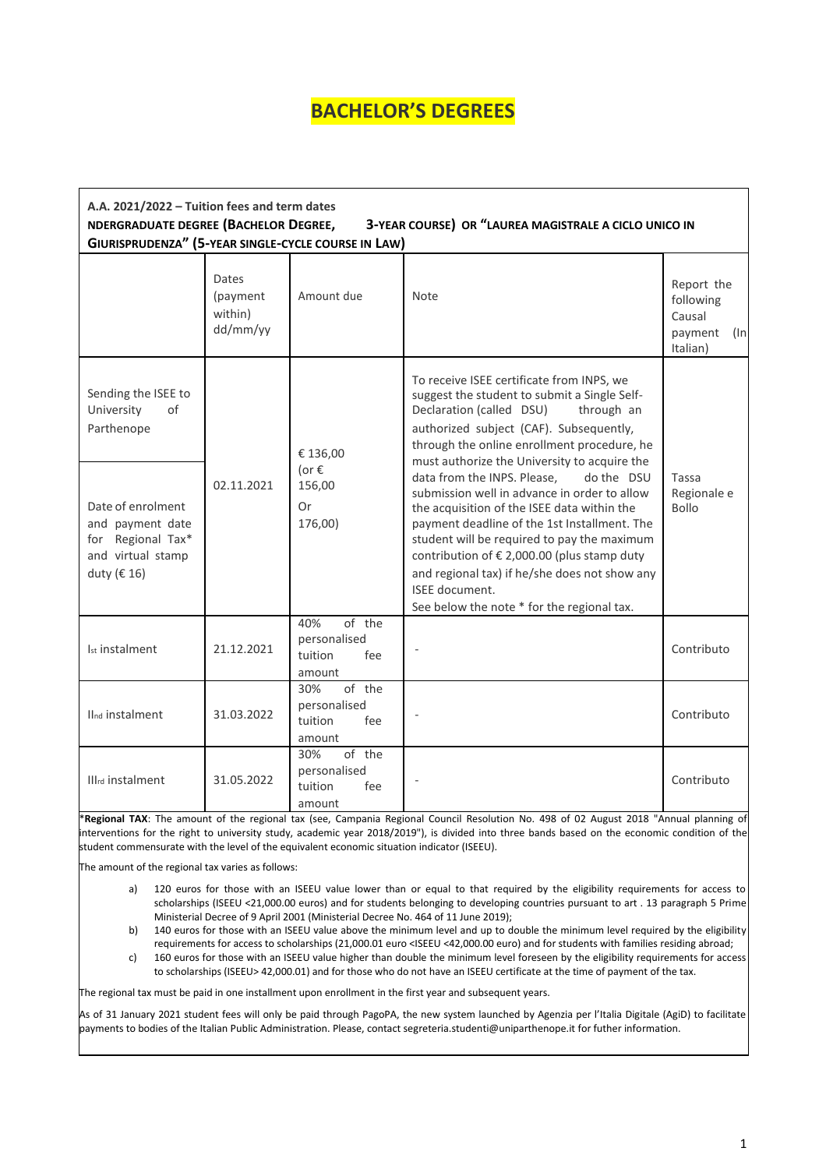## **BACHELOR'S DEGREES**

| A.A. 2021/2022 - Tuition fees and term dates<br>NDERGRADUATE DEGREE (BACHELOR DEGREE,<br>3-YEAR COURSE) OR "LAUREA MAGISTRALE A CICLO UNICO IN<br>GIURISPRUDENZA" (5-YEAR SINGLE-CYCLE COURSE IN LAW) |                                          |                                                           |                                                                                                                                                                                                                                                                                                                                                                                                                                                                                                                                                                                                                                                                                          |                                                              |  |  |  |
|-------------------------------------------------------------------------------------------------------------------------------------------------------------------------------------------------------|------------------------------------------|-----------------------------------------------------------|------------------------------------------------------------------------------------------------------------------------------------------------------------------------------------------------------------------------------------------------------------------------------------------------------------------------------------------------------------------------------------------------------------------------------------------------------------------------------------------------------------------------------------------------------------------------------------------------------------------------------------------------------------------------------------------|--------------------------------------------------------------|--|--|--|
|                                                                                                                                                                                                       | Dates<br>(payment<br>within)<br>dd/mm/yy | Amount due                                                | Note                                                                                                                                                                                                                                                                                                                                                                                                                                                                                                                                                                                                                                                                                     | Report the<br>following<br>Causal<br>payment (In<br>Italian) |  |  |  |
| Sending the ISEE to<br>University<br>of<br>Parthenope                                                                                                                                                 | 02.11.2021                               | € 136,00<br>(or $\epsilon$<br>156,00<br>0r<br>176,00)     | To receive ISEE certificate from INPS, we<br>suggest the student to submit a Single Self-<br>Declaration (called DSU)<br>through an<br>authorized subject (CAF). Subsequently,<br>through the online enrollment procedure, he<br>must authorize the University to acquire the<br>data from the INPS. Please,<br>do the DSU<br>submission well in advance in order to allow<br>the acquisition of the ISEE data within the<br>payment deadline of the 1st Installment. The<br>student will be required to pay the maximum<br>contribution of € 2,000.00 (plus stamp duty<br>and regional tax) if he/she does not show any<br>ISEE document.<br>See below the note * for the regional tax. |                                                              |  |  |  |
| Date of enrolment<br>and payment date<br>for Regional Tax*<br>and virtual stamp<br>duty ( $\in$ 16)                                                                                                   |                                          |                                                           |                                                                                                                                                                                                                                                                                                                                                                                                                                                                                                                                                                                                                                                                                          | Tassa<br>Regionale e<br><b>Bollo</b>                         |  |  |  |
| Ist instalment                                                                                                                                                                                        | 21.12.2021                               | 40%<br>of the<br>personalised<br>fee<br>tuition<br>amount |                                                                                                                                                                                                                                                                                                                                                                                                                                                                                                                                                                                                                                                                                          | Contributo                                                   |  |  |  |
| IInd instalment                                                                                                                                                                                       | 31.03.2022                               | of the<br>30%<br>personalised<br>tuition<br>fee<br>amount |                                                                                                                                                                                                                                                                                                                                                                                                                                                                                                                                                                                                                                                                                          | Contributo                                                   |  |  |  |
| Illrd instalment                                                                                                                                                                                      | 31.05.2022                               | 30%<br>of the<br>personalised<br>tuition<br>fee<br>amount |                                                                                                                                                                                                                                                                                                                                                                                                                                                                                                                                                                                                                                                                                          | Contributo                                                   |  |  |  |

\***Regional TAX**: The amount of the regional tax (see, Campania Regional Council Resolution No. 498 of 02 August 2018 "Annual planning of interventions for the right to university study, academic year 2018/2019"), is divided into three bands based on the economic condition of the student commensurate with the level of the equivalent economic situation indicator (ISEEU).

The amount of the regional tax varies as follows:

- a) 120 euros for those with an ISEEU value lower than or equal to that required by the eligibility requirements for access to scholarships (ISEEU <21,000.00 euros) and for students belonging to developing countries pursuant to art . 13 paragraph 5 Prime Ministerial Decree of 9 April 2001 (Ministerial Decree No. 464 of 11 June 2019);
- b) 140 euros for those with an ISEEU value above the minimum level and up to double the minimum level required by the eligibility requirements for access to scholarships (21,000.01 euro <ISEEU <42,000.00 euro) and for students with families residing abroad;
- c) 160 euros for those with an ISEEU value higher than double the minimum level foreseen by the eligibility requirements for access to scholarships (ISEEU> 42,000.01) and for those who do not have an ISEEU certificate at the time of payment of the tax.

The regional tax must be paid in one installment upon enrollment in the first year and subsequent years.

As of 31 January 2021 student fees will only be paid through PagoPA, the new system launched by Agenzia per l'Italia Digitale (AgiD) to facilitate payments to bodies of the Italian Public Administration. Please, contact segreteria.studenti@uniparthenope.it for futher information.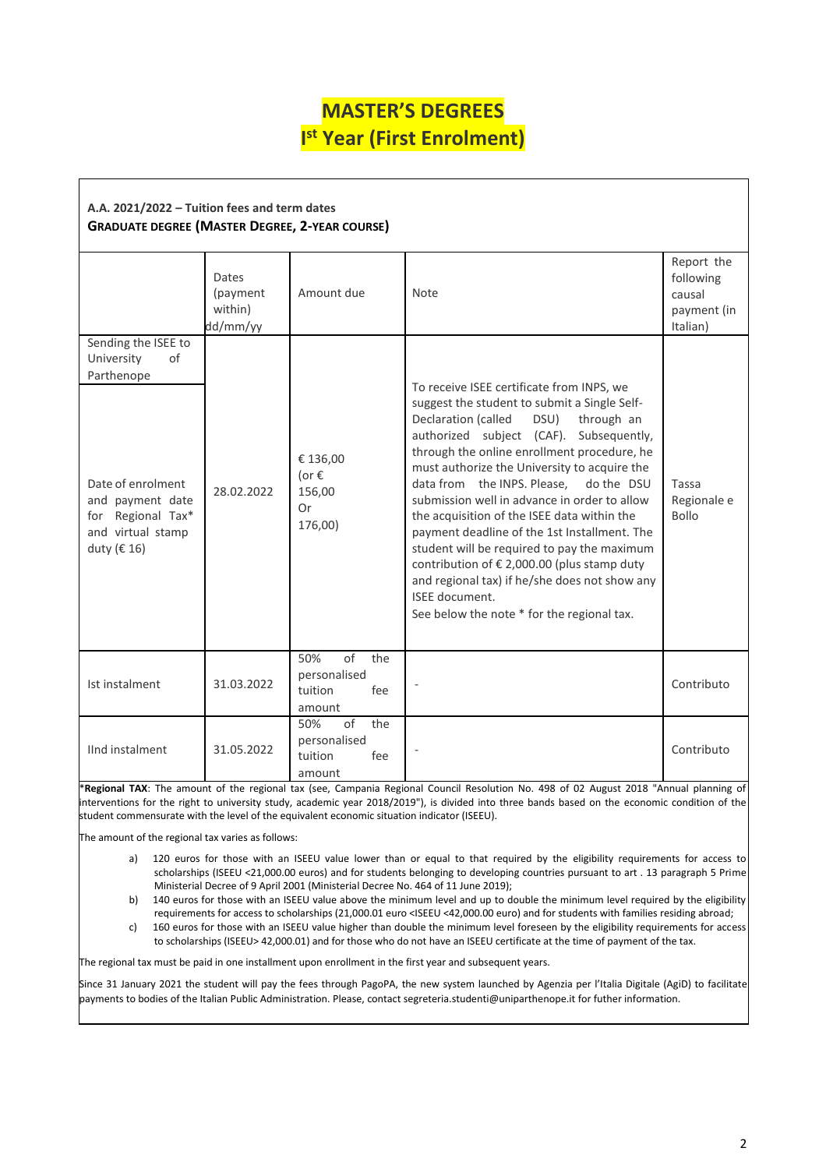## **MASTER'S DEGREES I st Year (First Enrolment)**

| A.A. 2021/2022 – Tuition fees and term dates          |  |  |  |  |  |
|-------------------------------------------------------|--|--|--|--|--|
| <b>GRADUATE DEGREE (MASTER DEGREE, 2-YEAR COURSE)</b> |  |  |  |  |  |

|                                                                                                                                                         | Dates<br>(payment<br>within)<br>dd/mm/yy | Amount due                                                                 | Note                                                                                                                                                                                                                                                                                                                                                                                                                                                                                                                                                                                                                                                                                        | Report the<br>following<br>causal<br>payment (in<br>Italian) |  |  |
|---------------------------------------------------------------------------------------------------------------------------------------------------------|------------------------------------------|----------------------------------------------------------------------------|---------------------------------------------------------------------------------------------------------------------------------------------------------------------------------------------------------------------------------------------------------------------------------------------------------------------------------------------------------------------------------------------------------------------------------------------------------------------------------------------------------------------------------------------------------------------------------------------------------------------------------------------------------------------------------------------|--------------------------------------------------------------|--|--|
| Sending the ISEE to<br>University<br>of<br>Parthenope<br>Date of enrolment<br>and payment date<br>for Regional Tax*<br>and virtual stamp<br>duty (€ 16) | 28.02.2022                               | € 136,00<br>(or $\epsilon$<br>156,00<br><b>Or</b><br>176,00)<br>$\sigma$ f | To receive ISEE certificate from INPS, we<br>suggest the student to submit a Single Self-<br>Declaration (called<br>DSU)<br>through an<br>authorized subject (CAF). Subsequently,<br>through the online enrollment procedure, he<br>must authorize the University to acquire the<br>data from the INPS. Please,<br>do the DSU<br>submission well in advance in order to allow<br>the acquisition of the ISEE data within the<br>payment deadline of the 1st Installment. The<br>student will be required to pay the maximum<br>contribution of € 2,000.00 (plus stamp duty<br>and regional tax) if he/she does not show any<br>ISEE document.<br>See below the note * for the regional tax. | Tassa<br>Regionale e<br><b>Bollo</b>                         |  |  |
| Ist instalment                                                                                                                                          | 31.03.2022                               | 50%<br>the<br>personalised<br>tuition<br>fee<br>amount                     |                                                                                                                                                                                                                                                                                                                                                                                                                                                                                                                                                                                                                                                                                             | Contributo                                                   |  |  |
| IInd instalment                                                                                                                                         | 31.05.2022                               | of<br>the<br>50%<br>personalised<br>tuition<br>fee<br>amount               |                                                                                                                                                                                                                                                                                                                                                                                                                                                                                                                                                                                                                                                                                             | Contributo                                                   |  |  |

\***Regional TAX**: The amount of the regional tax (see, Campania Regional Council Resolution No. 498 of 02 August 2018 "Annual planning of interventions for the right to university study, academic year 2018/2019"), is divided into three bands based on the economic condition of the student commensurate with the level of the equivalent economic situation indicator (ISEEU).

The amount of the regional tax varies as follows:

- a) 120 euros for those with an ISEEU value lower than or equal to that required by the eligibility requirements for access to scholarships (ISEEU <21,000.00 euros) and for students belonging to developing countries pursuant to art . 13 paragraph 5 Prime Ministerial Decree of 9 April 2001 (Ministerial Decree No. 464 of 11 June 2019);
- b) 140 euros for those with an ISEEU value above the minimum level and up to double the minimum level required by the eligibility requirements for access to scholarships (21,000.01 euro <ISEEU <42,000.00 euro) and for students with families residing abroad;
- c) 160 euros for those with an ISEEU value higher than double the minimum level foreseen by the eligibility requirements for access to scholarships (ISEEU> 42,000.01) and for those who do not have an ISEEU certificate at the time of payment of the tax.

The regional tax must be paid in one installment upon enrollment in the first year and subsequent years.

Since 31 January 2021 the student will pay the fees through PagoPA, the new system launched by Agenzia per l'Italia Digitale (AgiD) to facilitate payments to bodies of the Italian Public Administration. Please, contact segreteria.studenti@uniparthenope.it for futher information.